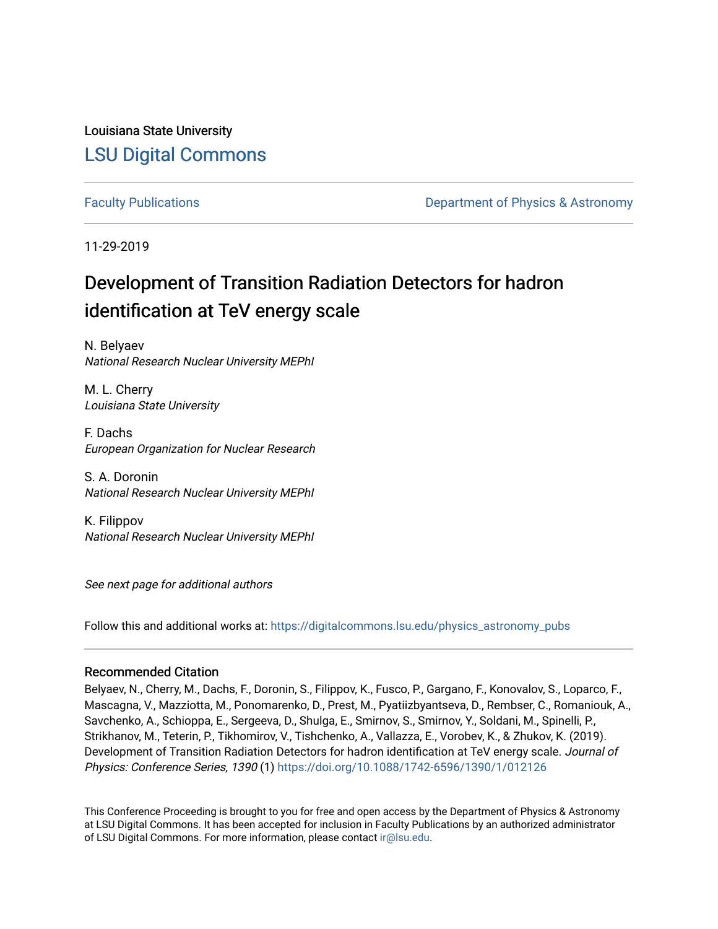Louisiana State University [LSU Digital Commons](https://digitalcommons.lsu.edu/)

[Faculty Publications](https://digitalcommons.lsu.edu/physics_astronomy_pubs) **Example 2** Constant Department of Physics & Astronomy

11-29-2019

# Development of Transition Radiation Detectors for hadron identification at TeV energy scale

N. Belyaev National Research Nuclear University MEPhI

M. L. Cherry Louisiana State University

F. Dachs European Organization for Nuclear Research

S. A. Doronin National Research Nuclear University MEPhI

K. Filippov National Research Nuclear University MEPhI

See next page for additional authors

Follow this and additional works at: [https://digitalcommons.lsu.edu/physics\\_astronomy\\_pubs](https://digitalcommons.lsu.edu/physics_astronomy_pubs?utm_source=digitalcommons.lsu.edu%2Fphysics_astronomy_pubs%2F642&utm_medium=PDF&utm_campaign=PDFCoverPages) 

### Recommended Citation

Belyaev, N., Cherry, M., Dachs, F., Doronin, S., Filippov, K., Fusco, P., Gargano, F., Konovalov, S., Loparco, F., Mascagna, V., Mazziotta, M., Ponomarenko, D., Prest, M., Pyatiizbyantseva, D., Rembser, C., Romaniouk, A., Savchenko, A., Schioppa, E., Sergeeva, D., Shulga, E., Smirnov, S., Smirnov, Y., Soldani, M., Spinelli, P., Strikhanov, M., Teterin, P., Tikhomirov, V., Tishchenko, A., Vallazza, E., Vorobev, K., & Zhukov, K. (2019). Development of Transition Radiation Detectors for hadron identification at TeV energy scale. Journal of Physics: Conference Series, 1390 (1) <https://doi.org/10.1088/1742-6596/1390/1/012126>

This Conference Proceeding is brought to you for free and open access by the Department of Physics & Astronomy at LSU Digital Commons. It has been accepted for inclusion in Faculty Publications by an authorized administrator of LSU Digital Commons. For more information, please contact [ir@lsu.edu](mailto:ir@lsu.edu).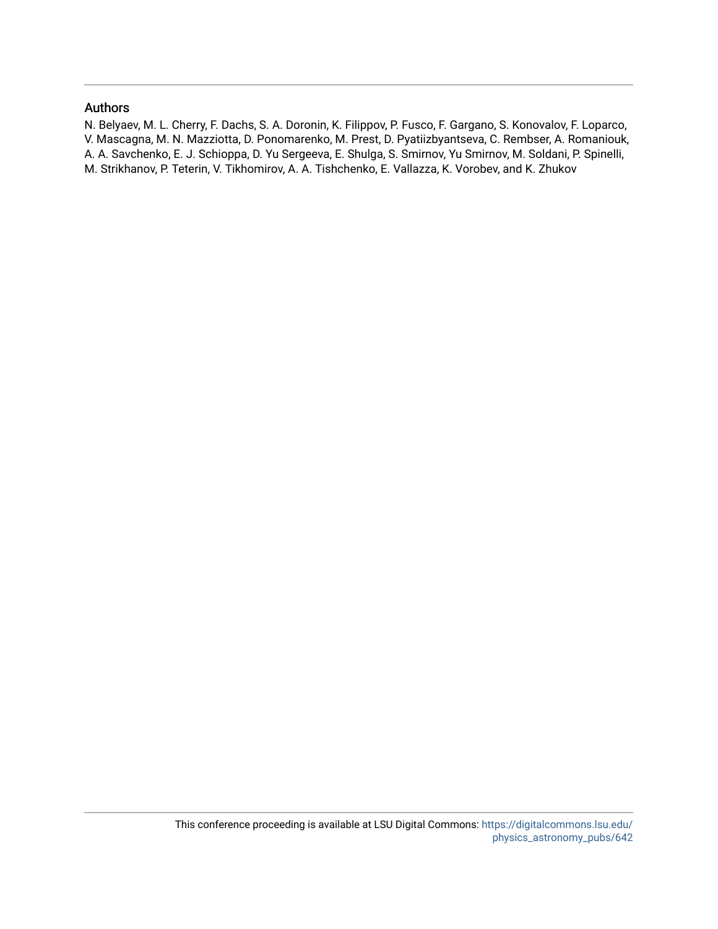### Authors

N. Belyaev, M. L. Cherry, F. Dachs, S. A. Doronin, K. Filippov, P. Fusco, F. Gargano, S. Konovalov, F. Loparco, V. Mascagna, M. N. Mazziotta, D. Ponomarenko, M. Prest, D. Pyatiizbyantseva, C. Rembser, A. Romaniouk, A. A. Savchenko, E. J. Schioppa, D. Yu Sergeeva, E. Shulga, S. Smirnov, Yu Smirnov, M. Soldani, P. Spinelli, M. Strikhanov, P. Teterin, V. Tikhomirov, A. A. Tishchenko, E. Vallazza, K. Vorobev, and K. Zhukov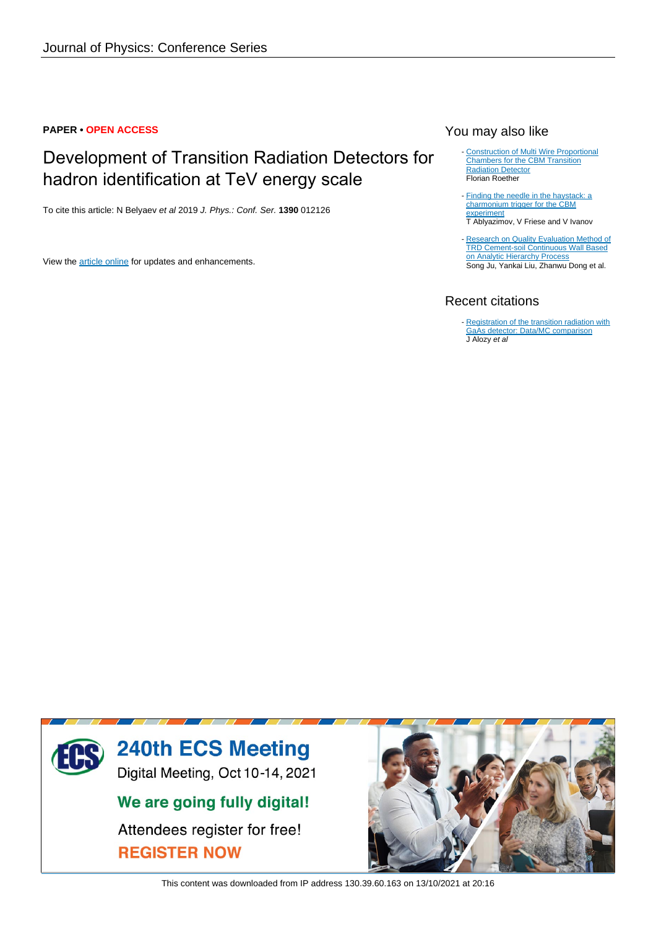# **PAPER • OPEN ACCESS**

# Development of Transition Radiation Detectors for hadron identification at TeV energy scale

To cite this article: N Belyaev et al 2019 J. Phys.: Conf. Ser. **1390** 012126

View the [article online](https://doi.org/10.1088/1742-6596/1390/1/012126) for updates and enhancements.

# You may also like

- [Construction of Multi Wire Proportional](/article/10.1088/1742-6596/1024/1/012040) [Chambers for the CBM Transition](/article/10.1088/1742-6596/1024/1/012040) **[Radiation Detector](/article/10.1088/1742-6596/1024/1/012040)** Florian Roether
- [Finding the needle in the haystack: a](/article/10.1088/1742-6596/898/3/032043) [charmonium trigger for the CBM](/article/10.1088/1742-6596/898/3/032043) [experiment](/article/10.1088/1742-6596/898/3/032043) T Ablyazimov, V Friese and V Ivanov
- [Research on Quality Evaluation Method of](/article/10.1088/1757-899X/780/4/042005) [TRD Cement-soil Continuous Wall Based](/article/10.1088/1757-899X/780/4/042005) [on Analytic Hierarchy Process](/article/10.1088/1757-899X/780/4/042005) Song Ju, Yankai Liu, Zhanwu Dong et al.

# Recent citations

- [Registration of the transition radiation with](http://iopscience.iop.org/1742-6596/1690/1/012041) [GaAs detector: Data/MC comparison](http://iopscience.iop.org/1742-6596/1690/1/012041) J Alozy et al



This content was downloaded from IP address 130.39.60.163 on 13/10/2021 at 20:16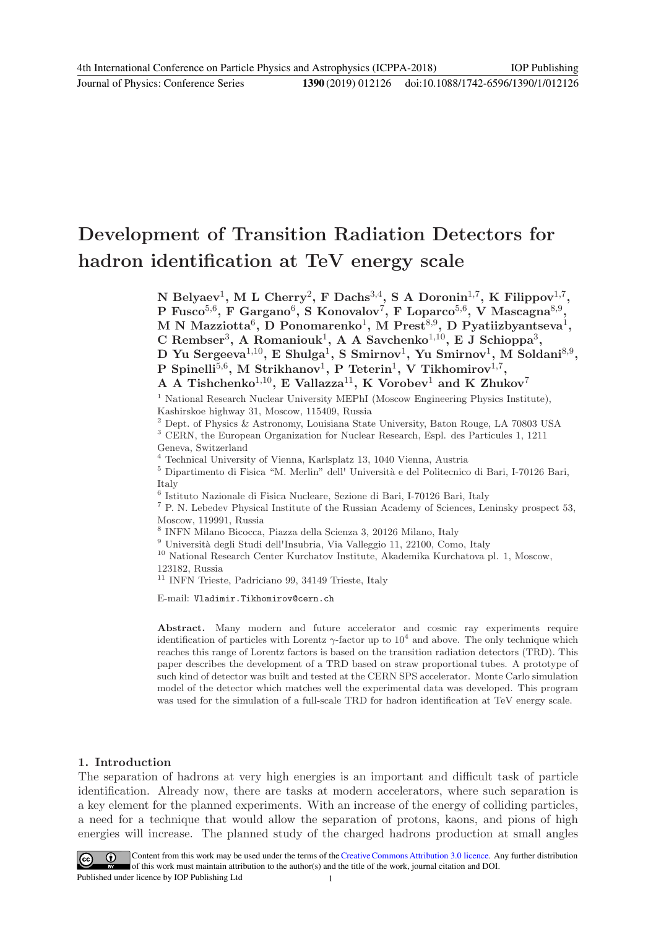# Development of Transition Radiation Detectors for hadron identification at TeV energy scale

N Belyaev<sup>1</sup>, M L Cherry<sup>2</sup>, F Dachs<sup>3,4</sup>, S A Doronin<sup>1,7</sup>, K Filippov<sup>1,7</sup>, P Fusco $^{5,6}$ , F Gargano $^6$ , S Konovalov $^7$ , F Loparco $^{5,6}$ , V Mascagna $^{8,9}$ ,  $\rm M~\rm N~\rm M$ azziotta $\rm^6,~\rm D~\rm P$ onomarenko $\rm^1,~\rm M~\rm Prest^{8,9},~\rm D~\rm Pyatiizbyantseva^1,$ C Rembser<sup>3</sup>, A Romaniouk<sup>1</sup>, A A Savchenko<sup>1,10</sup>, E J Schioppa<sup>3</sup>, D Yu Sergeeva $^{1,10}$ , E Shulga $^1$ , S Smirnov $^1$ , Yu Smirnov $^1$ , M Soldani $^{8,9}$ , P Spinelli<sup>5,6</sup>, M Strikhanov<sup>1</sup>, P Teterin<sup>1</sup>, V Tikhomirov<sup>1,7</sup>, A A Tishchenko<sup>1,10</sup>, E Vallazza<sup>11</sup>, K Vorobev<sup>1</sup> and K Zhukov<sup>7</sup> <sup>1</sup> National Research Nuclear University MEPhI (Moscow Engineering Physics Institute),

Kashirskoe highway 31, Moscow, 115409, Russia

<sup>2</sup> Dept. of Physics & Astronomy, Louisiana State University, Baton Rouge, LA 70803 USA

<sup>3</sup> CERN, the European Organization for Nuclear Research, Espl. des Particules 1, 1211 Geneva, Switzerland

<sup>4</sup> Technical University of Vienna, Karlsplatz 13, 1040 Vienna, Austria

 $^5$  Dipartimento di Fisica "M. Merlin" dell' Università e del Politecnico di Bari, I-70126 Bari, Italy

6 Istituto Nazionale di Fisica Nucleare, Sezione di Bari, I-70126 Bari, Italy

<sup>7</sup> P. N. Lebedev Physical Institute of the Russian Academy of Sciences, Leninsky prospect 53, Moscow, 119991, Russia

8 INFN Milano Bicocca, Piazza della Scienza 3, 20126 Milano, Italy

 $^9$ Università degli Studi dell'Insubria, Via Valleggio 11, 22100, Como, Italy

 $^{10}$  National Research Center Kurchatov Institute, Akademika Kurchatova pl. 1, Moscow, 123182, Russia

<sup>11</sup> INFN Trieste, Padriciano 99, 34149 Trieste, Italy

E-mail: Vladimir.Tikhomirov@cern.ch

Abstract. Many modern and future accelerator and cosmic ray experiments require identification of particles with Lorentz  $\gamma$ -factor up to  $10^4$  and above. The only technique which reaches this range of Lorentz factors is based on the transition radiation detectors (TRD). This paper describes the development of a TRD based on straw proportional tubes. A prototype of such kind of detector was built and tested at the CERN SPS accelerator. Monte Carlo simulation model of the detector which matches well the experimental data was developed. This program was used for the simulation of a full-scale TRD for hadron identification at TeV energy scale.

# 1. Introduction

The separation of hadrons at very high energies is an important and difficult task of particle identification. Already now, there are tasks at modern accelerators, where such separation is a key element for the planned experiments. With an increase of the energy of colliding particles, a need for a technique that would allow the separation of protons, kaons, and pions of high energies will increase. The planned study of the charged hadrons production at small angles

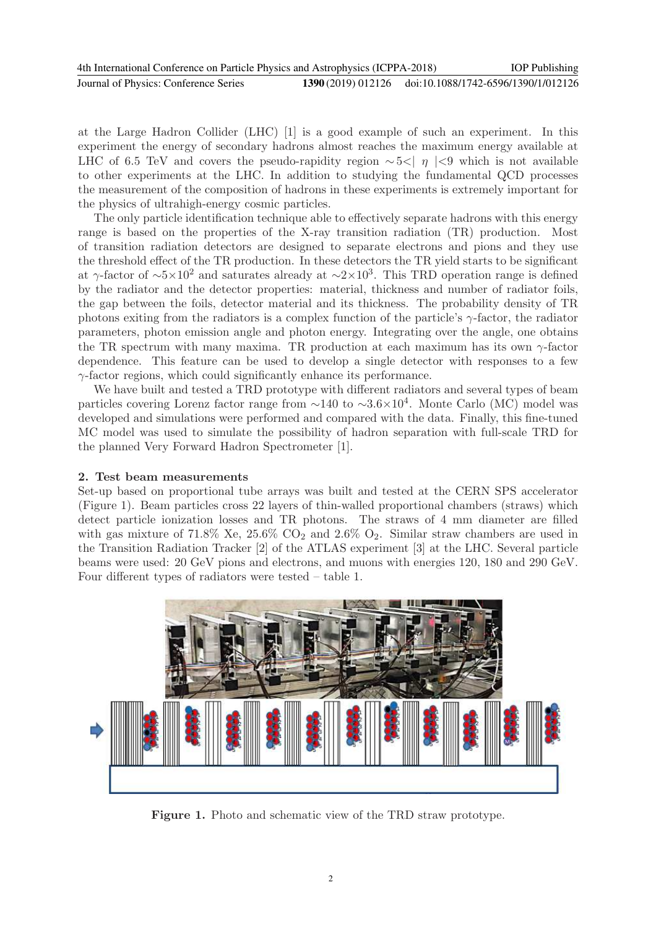at the Large Hadron Collider (LHC) [1] is a good example of such an experiment. In this experiment the energy of secondary hadrons almost reaches the maximum energy available at LHC of 6.5 TeV and covers the pseudo-rapidity region  $\sim$  5<|  $\eta$  |<9 which is not available to other experiments at the LHC. In addition to studying the fundamental QCD processes the measurement of the composition of hadrons in these experiments is extremely important for the physics of ultrahigh-energy cosmic particles.

The only particle identification technique able to effectively separate hadrons with this energy range is based on the properties of the X-ray transition radiation (TR) production. Most of transition radiation detectors are designed to separate electrons and pions and they use the threshold effect of the TR production. In these detectors the TR yield starts to be significant at γ-factor of  $\sim 5 \times 10^2$  and saturates already at  $\sim 2 \times 10^3$ . This TRD operation range is defined by the radiator and the detector properties: material, thickness and number of radiator foils, the gap between the foils, detector material and its thickness. The probability density of TR photons exiting from the radiators is a complex function of the particle's  $\gamma$ -factor, the radiator parameters, photon emission angle and photon energy. Integrating over the angle, one obtains the TR spectrum with many maxima. TR production at each maximum has its own  $\gamma$ -factor dependence. This feature can be used to develop a single detector with responses to a few  $\gamma$ -factor regions, which could significantly enhance its performance.

We have built and tested a TRD prototype with different radiators and several types of beam particles covering Lorenz factor range from  $\sim$ 140 to  $\sim$ 3.6×10<sup>4</sup>. Monte Carlo (MC) model was developed and simulations were performed and compared with the data. Finally, this fine-tuned MC model was used to simulate the possibility of hadron separation with full-scale TRD for the planned Very Forward Hadron Spectrometer [1].

# 2. Test beam measurements

Set-up based on proportional tube arrays was built and tested at the CERN SPS accelerator (Figure 1). Beam particles cross 22 layers of thin-walled proportional chambers (straws) which detect particle ionization losses and TR photons. The straws of 4 mm diameter are filled with gas mixture of 71.8% Xe,  $25.6\%$  CO<sub>2</sub> and  $2.6\%$  O<sub>2</sub>. Similar straw chambers are used in the Transition Radiation Tracker [2] of the ATLAS experiment [3] at the LHC. Several particle beams were used: 20 GeV pions and electrons, and muons with energies 120, 180 and 290 GeV. Four different types of radiators were tested – table 1.



Figure 1. Photo and schematic view of the TRD straw prototype.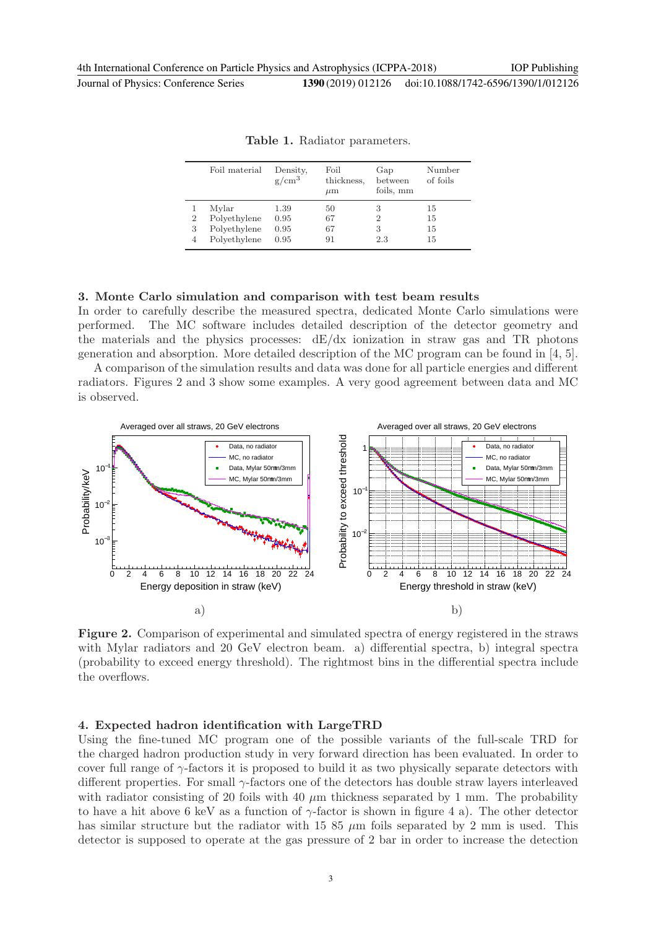| (2019) 012126 | doi:10.1088/1742-6596/1390/1/012126 |
|---------------|-------------------------------------|
|---------------|-------------------------------------|

|                     | Foil material                                         | Density,<br>$g/cm^3$         | Foil<br>thickness.<br>$\mu$ m | Gap<br>between<br>foils, mm     | Number<br>of foils   |
|---------------------|-------------------------------------------------------|------------------------------|-------------------------------|---------------------------------|----------------------|
| $\overline{2}$<br>3 | Mylar<br>Polyethylene<br>Polyethylene<br>Polyethylene | 1.39<br>0.95<br>0.95<br>0.95 | 50<br>67<br>67<br>91          | 3<br>$\overline{2}$<br>3<br>2.3 | 15<br>15<br>15<br>15 |
|                     |                                                       |                              |                               |                                 |                      |

Table 1. Radiator parameters.

#### 3. Monte Carlo simulation and comparison with test beam results

In order to carefully describe the measured spectra, dedicated Monte Carlo simulations were performed. The MC software includes detailed description of the detector geometry and the materials and the physics processes:  $dE/dx$  ionization in straw gas and TR photons generation and absorption. More detailed description of the MC program can be found in [4, 5].

A comparison of the simulation results and data was done for all particle energies and different radiators. Figures 2 and 3 show some examples. A very good agreement between data and MC is observed.



Figure 2. Comparison of experimental and simulated spectra of energy registered in the straws with Mylar radiators and 20 GeV electron beam. a) differential spectra, b) integral spectra (probability to exceed energy threshold). The rightmost bins in the differential spectra include the overflows.

#### 4. Expected hadron identification with LargeTRD

Using the fine-tuned MC program one of the possible variants of the full-scale TRD for the charged hadron production study in very forward direction has been evaluated. In order to cover full range of  $\gamma$ -factors it is proposed to build it as two physically separate detectors with different properties. For small  $\gamma$ -factors one of the detectors has double straw layers interleaved with radiator consisting of 20 foils with 40  $\mu$ m thickness separated by 1 mm. The probability to have a hit above 6 keV as a function of  $\gamma$ -factor is shown in figure 4 a). The other detector has similar structure but the radiator with 15 85  $\mu$ m foils separated by 2 mm is used. This detector is supposed to operate at the gas pressure of 2 bar in order to increase the detection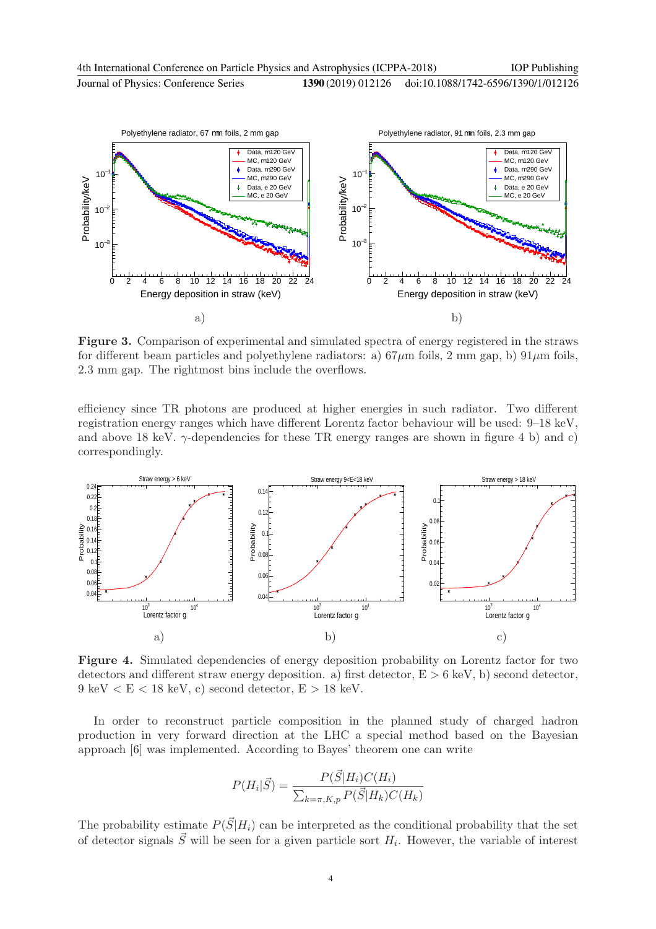

Figure 3. Comparison of experimental and simulated spectra of energy registered in the straws for different beam particles and polyethylene radiators: a)  $67\mu$ m foils, 2 mm gap, b)  $91\mu$ m foils, 2.3 mm gap. The rightmost bins include the overflows.

efficiency since TR photons are produced at higher energies in such radiator. Two different registration energy ranges which have different Lorentz factor behaviour will be used: 9–18 keV, and above 18 keV.  $\gamma$ -dependencies for these TR energy ranges are shown in figure 4 b) and c) correspondingly.



Figure 4. Simulated dependencies of energy deposition probability on Lorentz factor for two detectors and different straw energy deposition. a) first detector,  $E > 6$  keV, b) second detector,  $9 \text{ keV} < E < 18 \text{ keV}$ , c) second detector,  $E > 18 \text{ keV}$ .

In order to reconstruct particle composition in the planned study of charged hadron production in very forward direction at the LHC a special method based on the Bayesian approach [6] was implemented. According to Bayes' theorem one can write

$$
P(H_i|\vec{S}) = \frac{P(\vec{S}|H_i)C(H_i)}{\sum_{k=\pi,K,p} P(\vec{S}|H_k)C(H_k)}
$$

The probability estimate  $P(\vec{S}|H_i)$  can be interpreted as the conditional probability that the set of detector signals  $\vec{S}$  will be seen for a given particle sort  $H_i$ . However, the variable of interest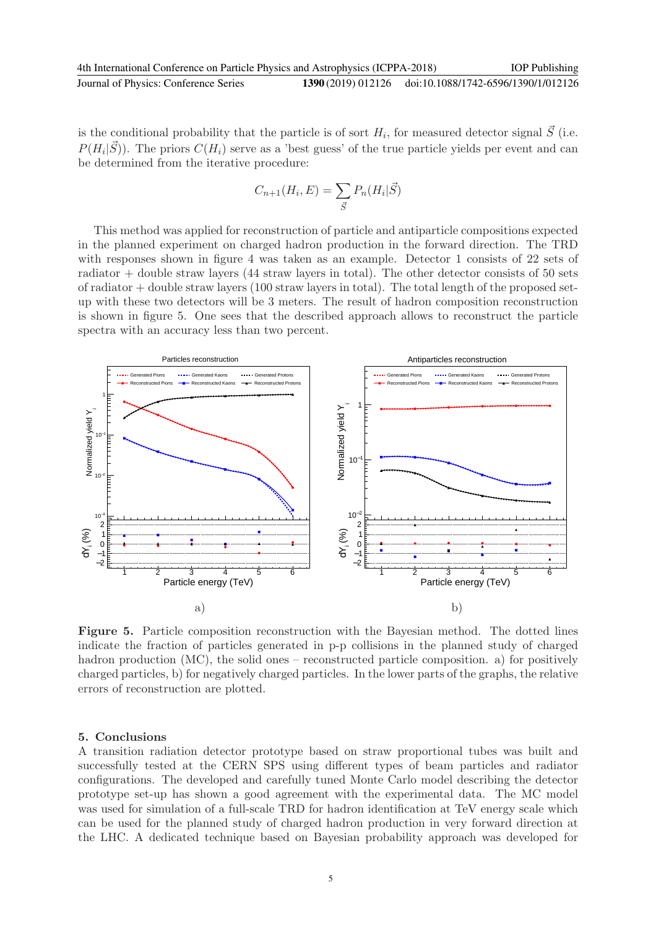is the conditional probability that the particle is of sort  $H_i$ , for measured detector signal  $\vec{S}$  (i.e.  $P(H_i|\vec{S})$ ). The priors  $C(H_i)$  serve as a 'best guess' of the true particle yields per event and can be determined from the iterative procedure:

$$
C_{n+1}(H_i, E) = \sum_{\vec{S}} P_n(H_i | \vec{S})
$$

This method was applied for reconstruction of particle and antiparticle compositions expected in the planned experiment on charged hadron production in the forward direction. The TRD with responses shown in figure 4 was taken as an example. Detector 1 consists of 22 sets of radiator + double straw layers (44 straw layers in total). The other detector consists of 50 sets of radiator  $+$  double straw layers (100 straw layers in total). The total length of the proposed setup with these two detectors will be 3 meters. The result of hadron composition reconstruction is shown in figure 5. One sees that the described approach allows to reconstruct the particle spectra with an accuracy less than two percent.



Figure 5. Particle composition reconstruction with the Bayesian method. The dotted lines indicate the fraction of particles generated in p-p collisions in the planned study of charged hadron production (MC), the solid ones – reconstructed particle composition. a) for positively charged particles, b) for negatively charged particles. In the lower parts of the graphs, the relative errors of reconstruction are plotted.

#### 5. Conclusions

A transition radiation detector prototype based on straw proportional tubes was built and successfully tested at the CERN SPS using different types of beam particles and radiator configurations. The developed and carefully tuned Monte Carlo model describing the detector prototype set-up has shown a good agreement with the experimental data. The MC model was used for simulation of a full-scale TRD for hadron identification at TeV energy scale which can be used for the planned study of charged hadron production in very forward direction at the LHC. A dedicated technique based on Bayesian probability approach was developed for